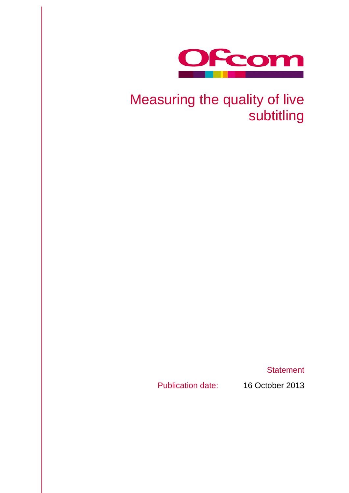

# Measuring the quality of live subtitling

**Statement** 

Publication date: 16 October 2013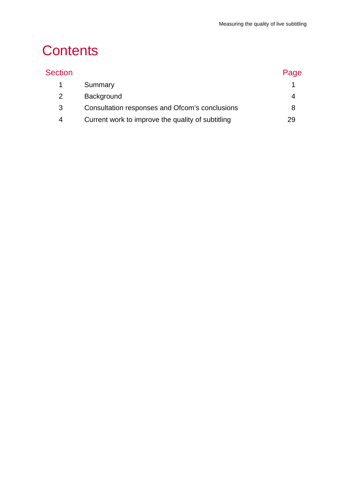# **Contents**

| <b>Section</b> |                                                   | Page |
|----------------|---------------------------------------------------|------|
|                | Summary                                           |      |
| $\mathcal{P}$  | Background                                        |      |
| 3              | Consultation responses and Ofcom's conclusions    | 8    |
| 4              | Current work to improve the quality of subtitling | 29   |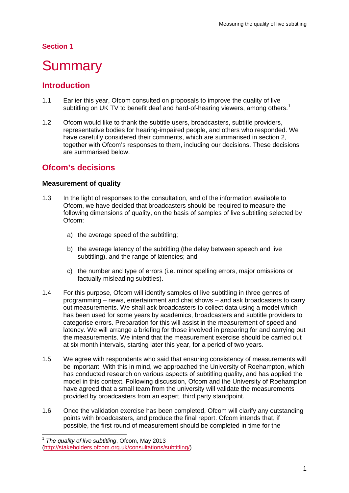# **Section 1**

# <span id="page-3-0"></span>**Summary**

# **Introduction**

- 1.1 Earlier this year, Ofcom consulted on proposals to improve the quality of live subtitling on UK TV to benefit deaf and hard-of-hearing viewers, among others.<sup>[1](#page-3-1)</sup>
- 1.2 Ofcom would like to thank the subtitle users, broadcasters, subtitle providers, representative bodies for hearing-impaired people, and others who responded. We have carefully considered their comments, which are summarised in section 2, together with Ofcom's responses to them, including our decisions. These decisions are summarised below.

# **Ofcom's decisions**

## **Measurement of quality**

- 1.3 In the light of responses to the consultation, and of the information available to Ofcom, we have decided that broadcasters should be required to measure the following dimensions of quality, on the basis of samples of live subtitling selected by Ofcom:
	- a) the average speed of the subtitling;
	- b) the average latency of the subtitling (the delay between speech and live subtitling), and the range of latencies; and
	- c) the number and type of errors (i.e. minor spelling errors, major omissions or factually misleading subtitles).
- 1.4 For this purpose, Ofcom will identify samples of live subtitling in three genres of programming – news, entertainment and chat shows – and ask broadcasters to carry out measurements. We shall ask broadcasters to collect data using a model which has been used for some years by academics, broadcasters and subtitle providers to categorise errors. Preparation for this will assist in the measurement of speed and latency. We will arrange a briefing for those involved in preparing for and carrying out the measurements. We intend that the measurement exercise should be carried out at six month intervals, starting later this year, for a period of two years.
- 1.5 We agree with respondents who said that ensuring consistency of measurements will be important. With this in mind, we approached the University of Roehampton, which has conducted research on various aspects of subtitling quality, and has applied the model in this context. Following discussion, Ofcom and the University of Roehampton have agreed that a small team from the university will validate the measurements provided by broadcasters from an expert, third party standpoint.
- 1.6 Once the validation exercise has been completed, Ofcom will clarify any outstanding points with broadcasters, and produce the final report. Ofcom intends that, if possible, the first round of measurement should be completed in time for the

<span id="page-3-1"></span> <sup>1</sup> *The quality of live subtitling*, Ofcom, May 2013 [\(http://stakeholders.ofcom.org.uk/consultations/subtitling/\)](http://stakeholders.ofcom.org.uk/consultations/subtitling/)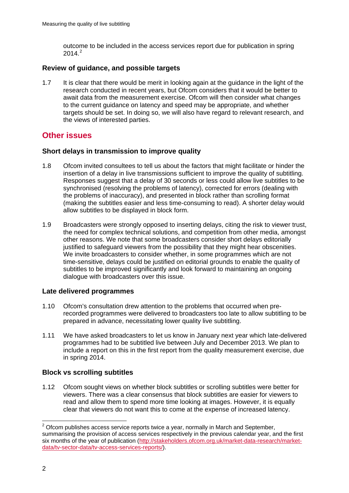outcome to be included in the access services report due for publication in spring  $2014.<sup>2</sup>$  $2014.<sup>2</sup>$ 

## **Review of guidance, and possible targets**

1.7 It is clear that there would be merit in looking again at the guidance in the light of the research conducted in recent years, but Ofcom considers that it would be better to await data from the measurement exercise. Ofcom will then consider what changes to the current guidance on latency and speed may be appropriate, and whether targets should be set. In doing so, we will also have regard to relevant research, and the views of interested parties.

# **Other issues**

## **Short delays in transmission to improve quality**

- 1.8 Ofcom invited consultees to tell us about the factors that might facilitate or hinder the insertion of a delay in live transmissions sufficient to improve the quality of subtitling. Responses suggest that a delay of 30 seconds or less could allow live subtitles to be synchronised (resolving the problems of latency), corrected for errors (dealing with the problems of inaccuracy), and presented in block rather than scrolling format (making the subtitles easier and less time-consuming to read). A shorter delay would allow subtitles to be displayed in block form.
- 1.9 Broadcasters were strongly opposed to inserting delays, citing the risk to viewer trust, the need for complex technical solutions, and competition from other media, amongst other reasons. We note that some broadcasters consider short delays editorially justified to safeguard viewers from the possibility that they might hear obscenities. We invite broadcasters to consider whether, in some programmes which are not time-sensitive, delays could be justified on editorial grounds to enable the quality of subtitles to be improved significantly and look forward to maintaining an ongoing dialogue with broadcasters over this issue.

## **Late delivered programmes**

- 1.10 Ofcom's consultation drew attention to the problems that occurred when prerecorded programmes were delivered to broadcasters too late to allow subtitling to be prepared in advance, necessitating lower quality live subtitling.
- 1.11 We have asked broadcasters to let us know in January next year which late-delivered programmes had to be subtitled live between July and December 2013. We plan to include a report on this in the first report from the quality measurement exercise, due in spring 2014.

## **Block vs scrolling subtitles**

1.12 Ofcom sought views on whether block subtitles or scrolling subtitles were better for viewers. There was a clear consensus that block subtitles are easier for viewers to read and allow them to spend more time looking at images. However, it is equally clear that viewers do not want this to come at the expense of increased latency.

<span id="page-4-0"></span> $2$  Ofcom publishes access service reports twice a year, normally in March and September, summarising the provision of access services respectively in the previous calendar year, and the first six months of the year of publication [\(http://stakeholders.ofcom.org.uk/market-data-research/market](http://stakeholders.ofcom.org.uk/market-data-research/market-data/tv-sector-data/tv-access-services-reports/)[data/tv-sector-data/tv-access-services-reports/\)](http://stakeholders.ofcom.org.uk/market-data-research/market-data/tv-sector-data/tv-access-services-reports/).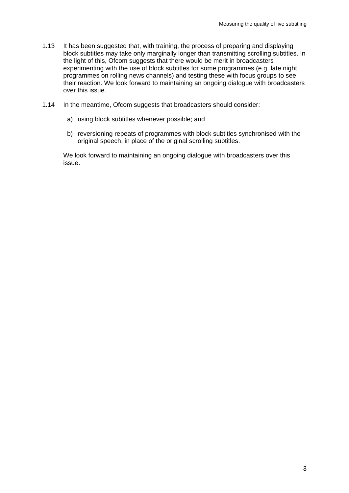- 1.13 It has been suggested that, with training, the process of preparing and displaying block subtitles may take only marginally longer than transmitting scrolling subtitles. In the light of this, Ofcom suggests that there would be merit in broadcasters experimenting with the use of block subtitles for some programmes (e.g. late night programmes on rolling news channels) and testing these with focus groups to see their reaction. We look forward to maintaining an ongoing dialogue with broadcasters over this issue.
- 1.14 In the meantime, Ofcom suggests that broadcasters should consider:
	- a) using block subtitles whenever possible; and
	- b) reversioning repeats of programmes with block subtitles synchronised with the original speech, in place of the original scrolling subtitles.

We look forward to maintaining an ongoing dialogue with broadcasters over this issue.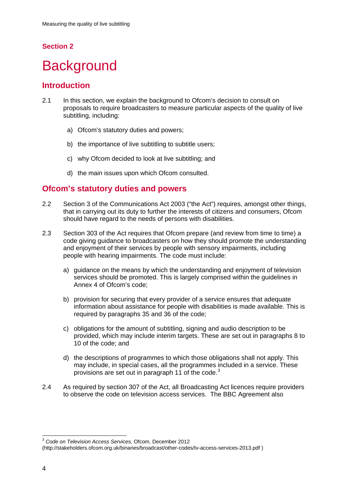# **Section 2**

# <span id="page-6-0"></span>**Background**

# **Introduction**

- 2.1 In this section, we explain the background to Ofcom's decision to consult on proposals to require broadcasters to measure particular aspects of the quality of live subtitling, including:
	- a) Ofcom's statutory duties and powers;
	- b) the importance of live subtitling to subtitle users;
	- c) why Ofcom decided to look at live subtitling; and
	- d) the main issues upon which Ofcom consulted.

# **Ofcom's statutory duties and powers**

- 2.2 Section 3 of the Communications Act 2003 ("the Act") requires, amongst other things, that in carrying out its duty to further the interests of citizens and consumers, Ofcom should have regard to the needs of persons with disabilities.
- 2.3 Section 303 of the Act requires that Ofcom prepare (and review from time to time) a code giving guidance to broadcasters on how they should promote the understanding and enjoyment of their services by people with sensory impairments, including people with hearing impairments. The code must include:
	- a) guidance on the means by which the understanding and enjoyment of television services should be promoted. This is largely comprised within the guidelines in Annex 4 of Ofcom's code;
	- b) provision for securing that every provider of a service ensures that adequate information about assistance for people with disabilities is made available. This is required by paragraphs 35 and 36 of the code;
	- c) obligations for the amount of subtitling, signing and audio description to be provided, which may include interim targets. These are set out in paragraphs 8 to 10 of the code; and
	- d) the descriptions of programmes to which those obligations shall not apply. This may include, in special cases, all the programmes included in a service. These provisions are set out in paragraph 11 of the code.[3](#page-6-1)
- 2.4 As required by section 307 of the Act, all Broadcasting Act licences require providers to observe the code on television access services. The BBC Agreement also

<span id="page-6-1"></span> <sup>3</sup> *Code on Television Access Services,* Ofcom, December 2012

<sup>(</sup>http://stakeholders.ofcom.org.uk/binaries/broadcast/other-codes/tv-access-services-2013.pdf )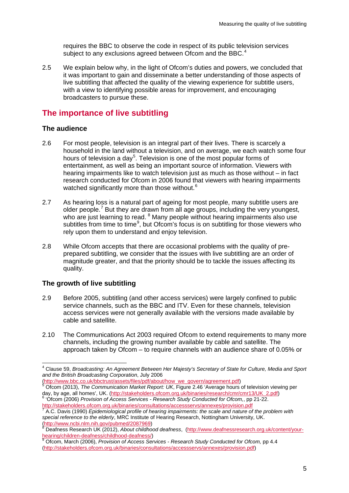requires the BBC to observe the code in respect of its public television services subject to any exclusions agreed between Ofcom and the BBC.<sup>[4](#page-7-0)</sup>

2.5 We explain below why, in the light of Ofcom's duties and powers, we concluded that it was important to gain and disseminate a better understanding of those aspects of live subtitling that affected the quality of the viewing experience for subtitle users, with a view to identifying possible areas for improvement, and encouraging broadcasters to pursue these.

# **The importance of live subtitling**

### **The audience**

- 2.6 For most people, television is an integral part of their lives. There is scarcely a household in the land without a television, and on average, we each watch some four hours of television a day<sup>[5](#page-7-1)</sup>. Television is one of the most popular forms of entertainment, as well as being an important source of information. Viewers with hearing impairments like to watch television just as much as those without – in fact research conducted for Ofcom in 2006 found that viewers with hearing impairments watched significantly more than those without.<sup>[6](#page-7-2)</sup>
- 2.7 As hearing loss is a natural part of ageing for most people, many subtitle users are older people.<sup>[7](#page-7-3)</sup> But they are drawn from all age groups, including the very youngest, who are just learning to read. <sup>[8](#page-7-4)</sup> Many people without hearing impairments also use subtitles from time to time<sup>[9](#page-7-5)</sup>, but Ofcom's focus is on subtitling for those viewers who rely upon them to understand and enjoy television.
- 2.8 While Ofcom accepts that there are occasional problems with the quality of preprepared subtitling, we consider that the issues with live subtitling are an order of magnitude greater, and that the priority should be to tackle the issues affecting its quality.

## **The growth of live subtitling**

- 2.9 Before 2005, subtitling (and other access services) were largely confined to public service channels, such as the BBC and ITV. Even for these channels, television access services were not generally available with the versions made available by cable and satellite.
- 2.10 The Communications Act 2003 required Ofcom to extend requirements to many more channels, including the growing number available by cable and satellite. The approach taken by Ofcom – to require channels with an audience share of 0.05% or

[\(http://www.bbc.co.uk/bbctrust/assets/files/pdf/about/how\\_we\\_govern/agreement.pdf\)](http://www.bbc.co.uk/bbctrust/assets/files/pdf/about/how_we_govern/agreement.pdf) <sup>5</sup> Ofcom (2013), *The Communication Market Report: UK*, Figure 2.46 'Average hours of television viewing per

<span id="page-7-2"></span><span id="page-7-1"></span>day, by age, all homes', UK. [\(http://stakeholders.ofcom.org.uk/binaries/research/cmr/cmr13/UK\\_2.pdf\)](http://stakeholders.ofcom.org.uk/binaries/research/cmr/cmr13/UK_2.pdf) <sup>6</sup> 'Ofcom (2006) *Provision of Access Services - Research Study Conducted for Ofcom,*, pp 21-22. <http://stakeholders.ofcom.org.uk/binaries/consultations/accessservs/annexes/provision.pdf>

<span id="page-7-0"></span> <sup>4</sup> Clause 59, *Broadcasting: An Agreement Between Her Majesty's Secretary of State for Culture, Media and Sport and the British Broadcasting Corporation*, July 2006

<span id="page-7-3"></span><sup>7</sup> A.C. Davis (1990) *Epidemiological profile of hearing impairments: the scale and nature of the problem with*  special reference to the elderly, MRC Institute of Hearing Research, Nottingham University, UK.<br>(http://www.ncbi.nlm.nih.gov/pubmed/2087969)<br><sup>8</sup> Deafnoss Bessexsh UK (0010)

<span id="page-7-4"></span>Deafness Research UK (2012), *About childhood deafness*, [\(http://www.deafnessresearch.org.uk/content/your](http://www.deafnessresearch.org.uk/content/your-hearing/children-deafness/childhood-deafness/)[hearing/children-deafness/childhood-deafness/\)](http://www.deafnessresearch.org.uk/content/your-hearing/children-deafness/childhood-deafness/) <sup>9</sup> Ofcom, March (2006), *Provision of Access Services - Research Study Conducted for Ofcom,* pp 4.4

<span id="page-7-5"></span>[<sup>\(</sup>http://stakeholders.ofcom.org.uk/binaries/consultations/accessservs/annexes/provision.pdf\)](http://stakeholders.ofcom.org.uk/binaries/consultations/accessservs/annexes/provision.pdf)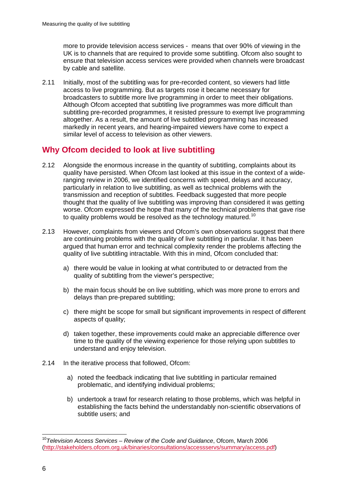more to provide television access services - means that over 90% of viewing in the UK is to channels that are required to provide some subtitling. Ofcom also sought to ensure that television access services were provided when channels were broadcast by cable and satellite.

2.11 Initially, most of the subtitling was for pre-recorded content, so viewers had little access to live programming. But as targets rose it became necessary for broadcasters to subtitle more live programming in order to meet their obligations. Although Ofcom accepted that subtitling live programmes was more difficult than subtitling pre-recorded programmes, it resisted pressure to exempt live programming altogether. As a result, the amount of live subtitled programming has increased markedly in recent years, and hearing-impaired viewers have come to expect a similar level of access to television as other viewers.

# **Why Ofcom decided to look at live subtitling**

- 2.12 Alongside the enormous increase in the quantity of subtitling, complaints about its quality have persisted. When Ofcom last looked at this issue in the context of a wideranging review in 2006, we identified concerns with speed, delays and accuracy, particularly in relation to live subtitling, as well as technical problems with the transmission and reception of subtitles. Feedback suggested that more people thought that the quality of live subtitling was improving than considered it was getting worse. Ofcom expressed the hope that many of the technical problems that gave rise to quality problems would be resolved as the technology matured.<sup>[10](#page-8-0)</sup>
- 2.13 However, complaints from viewers and Ofcom's own observations suggest that there are continuing problems with the quality of live subtitling in particular. It has been argued that human error and technical complexity render the problems affecting the quality of live subtitling intractable. With this in mind, Ofcom concluded that:
	- a) there would be value in looking at what contributed to or detracted from the quality of subtitling from the viewer's perspective;
	- b) the main focus should be on live subtitling, which was more prone to errors and delays than pre-prepared subtitling;
	- c) there might be scope for small but significant improvements in respect of different aspects of quality;
	- d) taken together, these improvements could make an appreciable difference over time to the quality of the viewing experience for those relying upon subtitles to understand and enjoy television.
- 2.14 In the iterative process that followed, Ofcom:
	- a) noted the feedback indicating that live subtitling in particular remained problematic, and identifying individual problems;
	- b) undertook a trawl for research relating to those problems, which was helpful in establishing the facts behind the understandably non-scientific observations of subtitle users; and

<span id="page-8-0"></span> <sup>10</sup>*Television Access Services – Review of the Code and Guidance*, Ofcom, March 2006 [\(http://stakeholders.ofcom.org.uk/binaries/consultations/accessservs/summary/access.pdf\)](http://stakeholders.ofcom.org.uk/binaries/consultations/accessservs/summary/access.pdf)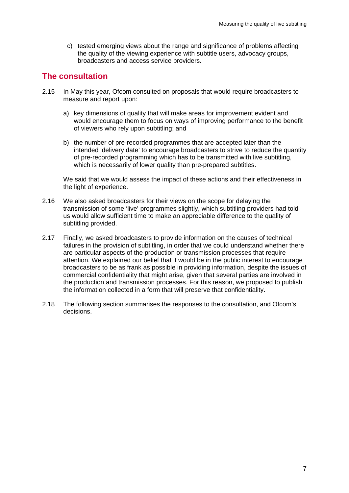c) tested emerging views about the range and significance of problems affecting the quality of the viewing experience with subtitle users, advocacy groups, broadcasters and access service providers.

# **The consultation**

- 2.15 In May this year, Ofcom consulted on proposals that would require broadcasters to measure and report upon:
	- a) key dimensions of quality that will make areas for improvement evident and would encourage them to focus on ways of improving performance to the benefit of viewers who rely upon subtitling; and
	- b) the number of pre-recorded programmes that are accepted later than the intended 'delivery date' to encourage broadcasters to strive to reduce the quantity of pre-recorded programming which has to be transmitted with live subtitling, which is necessarily of lower quality than pre-prepared subtitles.

We said that we would assess the impact of these actions and their effectiveness in the light of experience.

- 2.16 We also asked broadcasters for their views on the scope for delaying the transmission of some 'live' programmes slightly, which subtitling providers had told us would allow sufficient time to make an appreciable difference to the quality of subtitling provided.
- 2.17 Finally, we asked broadcasters to provide information on the causes of technical failures in the provision of subtitling, in order that we could understand whether there are particular aspects of the production or transmission processes that require attention. We explained our belief that it would be in the public interest to encourage broadcasters to be as frank as possible in providing information, despite the issues of commercial confidentiality that might arise, given that several parties are involved in the production and transmission processes. For this reason, we proposed to publish the information collected in a form that will preserve that confidentiality.
- 2.18 The following section summarises the responses to the consultation, and Ofcom's decisions.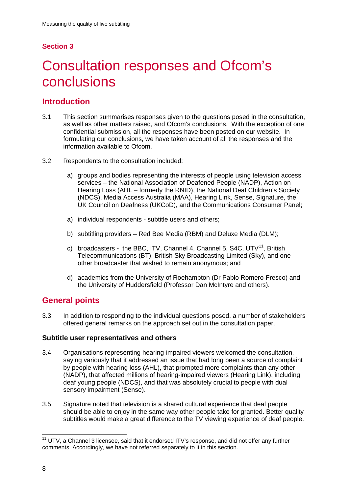# **Section 3**

# <span id="page-10-0"></span>3 Consultation responses and Ofcom's conclusions

# **Introduction**

- 3.1 This section summarises responses given to the questions posed in the consultation, as well as other matters raised, and Ofcom's conclusions. With the exception of one confidential submission, all the responses have been posted on our website. In formulating our conclusions, we have taken account of all the responses and the information available to Ofcom.
- 3.2 Respondents to the consultation included:
	- a) groups and bodies representing the interests of people using television access services – the National Association of Deafened People (NADP), Action on Hearing Loss (AHL – formerly the RNID), the National Deaf Children's Society (NDCS), Media Access Australia (MAA), Hearing Link, Sense, Signature, the UK Council on Deafness (UKCoD), and the Communications Consumer Panel;
	- a) individual respondents subtitle users and others;
	- b) subtitling providers Red Bee Media (RBM) and Deluxe Media (DLM);
	- c) broadcasters the BBC, ITV, Channel 4, Channel 5, S4C, UTV $^{11}$ , British Telecommunications (BT), British Sky Broadcasting Limited (Sky), and one other broadcaster that wished to remain anonymous; and
	- d) academics from the University of Roehampton (Dr Pablo Romero-Fresco) and the University of Huddersfield (Professor Dan McIntyre and others).

# **General points**

3.3 In addition to responding to the individual questions posed, a number of stakeholders offered general remarks on the approach set out in the consultation paper.

## **Subtitle user representatives and others**

- 3.4 Organisations representing hearing-impaired viewers welcomed the consultation, saying variously that it addressed an issue that had long been a source of complaint by people with hearing loss (AHL), that prompted more complaints than any other (NADP), that affected millions of hearing-impaired viewers (Hearing Link), including deaf young people (NDCS), and that was absolutely crucial to people with dual sensory impairment (Sense).
- 3.5 Signature noted that television is a shared cultural experience that deaf people should be able to enjoy in the same way other people take for granted. Better quality subtitles would make a great difference to the TV viewing experience of deaf people.

<span id="page-10-1"></span><sup>&</sup>lt;sup>11</sup> UTV, a Channel 3 licensee, said that it endorsed ITV's response, and did not offer any further comments. Accordingly, we have not referred separately to it in this section.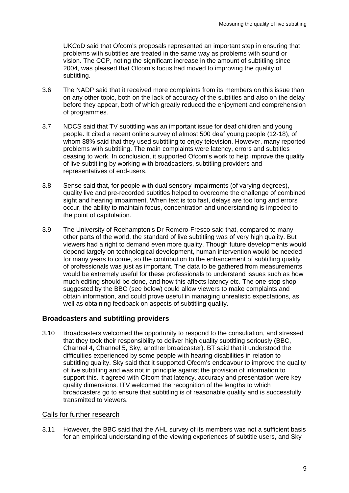UKCoD said that Ofcom's proposals represented an important step in ensuring that problems with subtitles are treated in the same way as problems with sound or vision. The CCP, noting the significant increase in the amount of subtitling since 2004, was pleased that Ofcom's focus had moved to improving the quality of subtitling.

- 3.6 The NADP said that it received more complaints from its members on this issue than on any other topic, both on the lack of accuracy of the subtitles and also on the delay before they appear, both of which greatly reduced the enjoyment and comprehension of programmes.
- 3.7 NDCS said that TV subtitling was an important issue for deaf children and young people. It cited a recent online survey of almost 500 deaf young people (12-18), of whom 88% said that they used subtitling to enjoy television. However, many reported problems with subtitling. The main complaints were latency, errors and subtitles ceasing to work. In conclusion, it supported Ofcom's work to help improve the quality of live subtitling by working with broadcasters, subtitling providers and representatives of end-users.
- 3.8 Sense said that, for people with dual sensory impairments (of varying degrees), quality live and pre-recorded subtitles helped to overcome the challenge of combined sight and hearing impairment. When text is too fast, delays are too long and errors occur, the ability to maintain focus, concentration and understanding is impeded to the point of capitulation.
- 3.9 The University of Roehampton's Dr Romero-Fresco said that, compared to many other parts of the world, the standard of live subtitling was of very high quality. But viewers had a right to demand even more quality. Though future developments would depend largely on technological development, human intervention would be needed for many years to come, so the contribution to the enhancement of subtitling quality of professionals was just as important. The data to be gathered from measurements would be extremely useful for these professionals to understand issues such as how much editing should be done, and how this affects latency etc. The one-stop shop suggested by the BBC (see below) could allow viewers to make complaints and obtain information, and could prove useful in managing unrealistic expectations, as well as obtaining feedback on aspects of subtitling quality.

#### **Broadcasters and subtitling providers**

3.10 Broadcasters welcomed the opportunity to respond to the consultation, and stressed that they took their responsibility to deliver high quality subtitling seriously (BBC, Channel 4, Channel 5, Sky, another broadcaster). BT said that it understood the difficulties experienced by some people with hearing disabilities in relation to subtitling quality. Sky said that it supported Ofcom's endeavour to improve the quality of live subtitling and was not in principle against the provision of information to support this. It agreed with Ofcom that latency, accuracy and presentation were key quality dimensions. ITV welcomed the recognition of the lengths to which broadcasters go to ensure that subtitling is of reasonable quality and is successfully transmitted to viewers.

#### Calls for further research

3.11 However, the BBC said that the AHL survey of its members was not a sufficient basis for an empirical understanding of the viewing experiences of subtitle users, and Sky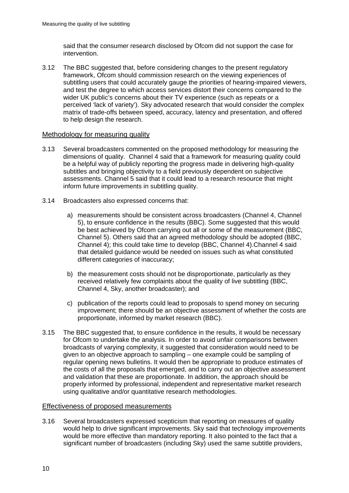said that the consumer research disclosed by Ofcom did not support the case for intervention.

3.12 The BBC suggested that, before considering changes to the present regulatory framework, Ofcom should commission research on the viewing experiences of subtitling users that could accurately gauge the priorities of hearing-impaired viewers, and test the degree to which access services distort their concerns compared to the wider UK public's concerns about their TV experience (such as repeats or a perceived 'lack of variety'). Sky advocated research that would consider the complex matrix of trade-offs between speed, accuracy, latency and presentation, and offered to help design the research.

#### Methodology for measuring quality

- 3.13 Several broadcasters commented on the proposed methodology for measuring the dimensions of quality. Channel 4 said that a framework for measuring quality could be a helpful way of publicly reporting the progress made in delivering high-quality subtitles and bringing objectivity to a field previously dependent on subjective assessments. Channel 5 said that it could lead to a research resource that might inform future improvements in subtitling quality.
- 3.14 Broadcasters also expressed concerns that:
	- a) measurements should be consistent across broadcasters (Channel 4, Channel 5), to ensure confidence in the results (BBC). Some suggested that this would be best achieved by Ofcom carrying out all or some of the measurement (BBC, Channel 5). Others said that an agreed methodology should be adopted (BBC, Channel 4); this could take time to develop (BBC, Channel 4).Channel 4 said that detailed guidance would be needed on issues such as what constituted different categories of inaccuracy;
	- b) the measurement costs should not be disproportionate, particularly as they received relatively few complaints about the quality of live subtitling (BBC, Channel 4, Sky, another broadcaster); and
	- c) publication of the reports could lead to proposals to spend money on securing improvement; there should be an objective assessment of whether the costs are proportionate, informed by market research (BBC).
- 3.15 The BBC suggested that, to ensure confidence in the results, it would be necessary for Ofcom to undertake the analysis. In order to avoid unfair comparisons between broadcasts of varying complexity, it suggested that consideration would need to be given to an objective approach to sampling – one example could be sampling of regular opening news bulletins. It would then be appropriate to produce estimates of the costs of all the proposals that emerged, and to carry out an objective assessment and validation that these are proportionate. In addition, the approach should be properly informed by professional, independent and representative market research using qualitative and/or quantitative research methodologies.

#### Effectiveness of proposed measurements

3.16 Several broadcasters expressed scepticism that reporting on measures of quality would help to drive significant improvements. Sky said that technology improvements would be more effective than mandatory reporting. It also pointed to the fact that a significant number of broadcasters (including Sky) used the same subtitle providers,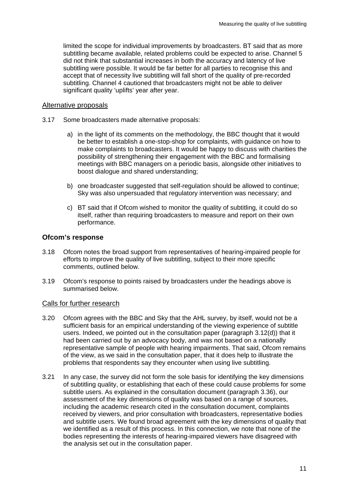limited the scope for individual improvements by broadcasters. BT said that as more subtitling became available, related problems could be expected to arise. Channel 5 did not think that substantial increases in both the accuracy and latency of live subtitling were possible. It would be far better for all parties to recognise this and accept that of necessity live subtitling will fall short of the quality of pre-recorded subtitling. Channel 4 cautioned that broadcasters might not be able to deliver significant quality 'uplifts' year after year.

#### Alternative proposals

- 3.17 Some broadcasters made alternative proposals:
	- a) in the light of its comments on the methodology, the BBC thought that it would be better to establish a one-stop-shop for complaints, with guidance on how to make complaints to broadcasters. It would be happy to discuss with charities the possibility of strengthening their engagement with the BBC and formalising meetings with BBC managers on a periodic basis, alongside other initiatives to boost dialogue and shared understanding;
	- b) one broadcaster suggested that self-regulation should be allowed to continue; Sky was also unpersuaded that regulatory intervention was necessary; and
	- c) BT said that if Ofcom wished to monitor the quality of subtitling, it could do so itself, rather than requiring broadcasters to measure and report on their own performance.

#### **Ofcom's response**

- 3.18 Ofcom notes the broad support from representatives of hearing-impaired people for efforts to improve the quality of live subtitling, subject to their more specific comments, outlined below.
- 3.19 Ofcom's response to points raised by broadcasters under the headings above is summarised below.

#### Calls for further research

- 3.20 Ofcom agrees with the BBC and Sky that the AHL survey, by itself, would not be a sufficient basis for an empirical understanding of the viewing experience of subtitle users. Indeed, we pointed out in the consultation paper (paragraph 3.12(d)) that it had been carried out by an advocacy body, and was not based on a nationally representative sample of people with hearing impairments. That said, Ofcom remains of the view, as we said in the consultation paper, that it does help to illustrate the problems that respondents say they encounter when using live subtitling.
- 3.21 In any case, the survey did not form the sole basis for identifying the key dimensions of subtitling quality, or establishing that each of these could cause problems for some subtitle users. As explained in the consultation document (paragraph 3.36), our assessment of the key dimensions of quality was based on a range of sources, including the academic research cited in the consultation document, complaints received by viewers, and prior consultation with broadcasters, representative bodies and subtitle users. We found broad agreement with the key dimensions of quality that we identified as a result of this process. In this connection, we note that none of the bodies representing the interests of hearing-impaired viewers have disagreed with the analysis set out in the consultation paper.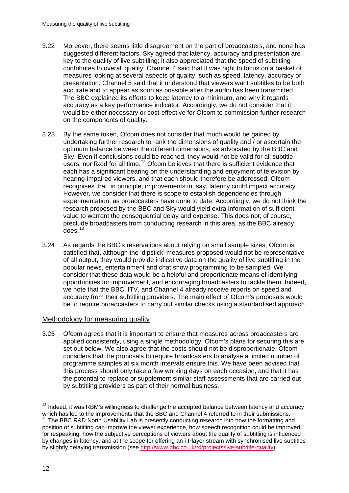- 3.22 Moreover, there seems little disagreement on the part of broadcasters, and none has suggested different factors. Sky agreed that latency, accuracy and presentation are key to the quality of live subtitling; it also appreciated that the speed of subtitling contributes to overall quality. Channel 4 said that it was right to focus on a basket of measures looking at several aspects of quality, such as speed, latency, accuracy or presentation. Channel 5 said that it understood that viewers want subtitles to be both accurate and to appear as soon as possible after the audio has been transmitted. The BBC explained its efforts to keep latency to a minimum, and why it regards accuracy as a key performance indicator. Accordingly, we do not consider that it would be either necessary or cost-effective for Ofcom to commission further research on the components of quality.
- 3.23 By the same token, Ofcom does not consider that much would be gained by undertaking further research to rank the dimensions of quality and / or ascertain the optimum balance between the different dimensions, as advocated by the BBC and Sky. Even if conclusions could be reached, they would not be valid for all subtitle users, nor fixed for all time.<sup>[12](#page-14-0)</sup> Ofcom believes that there is sufficient evidence that each has a significant bearing on the understanding and enjoyment of television by hearing-impaired viewers, and that each should therefore be addressed. Ofcom recognises that, in principle, improvements in, say, latency could impact accuracy. However, we consider that there is scope to establish dependencies through experimentation, as broadcasters have done to date. Accordingly, we do not think the research proposed by the BBC and Sky would yield extra information of sufficient value to warrant the consequential delay and expense. This does not, of course, preclude broadcasters from conducting research in this area, as the BBC already does. [13](#page-14-1)
- 3.24 As regards the BBC's reservations about relying on small sample sizes, Ofcom is satisfied that, although the 'dipstick' measures proposed would not be representative of all output, they would provide indicative data on the quality of live subtitling in the popular news, entertainment and chat show programming to be sampled. We consider that these data would be a helpful and proportionate means of identifying opportunities for improvement, and encouraging broadcasters to tackle them. Indeed, we note that the BBC, ITV, and Channel 4 already receive reports on speed and accuracy from their subtitling providers. The main effect of Ofcom's proposals would be to require broadcasters to carry out similar checks using a standardised approach.

#### Methodology for measuring quality

3.25 Ofcom agrees that it is important to ensure that measures across broadcasters are applied consistently, using a single methodology. Ofcom's plans for securing this are set out below. We also agree that the costs should not be disproportionate. Ofcom considers that the proposals to require broadcasters to analyse a limited number of programme samples at six month intervals ensure this. We have been advised that this process should only take a few working days on each occasion, and that it has the potential to replace or supplement similar staff assessments that are carried out by subtitling providers as part of their normal business.

<span id="page-14-0"></span> $12$  Indeed, it was RBM's willingness to challenge the accepted balance between latency and accuracy which has led to the improvements that the BBC and Channel 4 referred to in their submissions.

<span id="page-14-1"></span><sup>&</sup>lt;sup>13</sup> The BBC R&D North Usability Lab is presently conducting research into how the formatting and position of subtitling can improve the viewer experience, how speech recognition could be improved for respeaking, how the subjective perceptions of viewers about the quality of subtitling is influenced by changes in latency, and at the scope for offering an i-Player stream with synchronised live subtitles by slightly delaying transmission (see [http://www.bbc.co.uk/rd/projects/live-subtitle-quality\)](http://www.bbc.co.uk/rd/projects/live-subtitle-quality).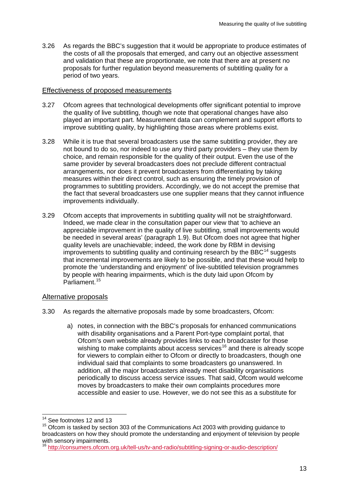3.26 As regards the BBC's suggestion that it would be appropriate to produce estimates of the costs of all the proposals that emerged, and carry out an objective assessment and validation that these are proportionate, we note that there are at present no proposals for further regulation beyond measurements of subtitling quality for a period of two years.

#### Effectiveness of proposed measurements

- 3.27 Ofcom agrees that technological developments offer significant potential to improve the quality of live subtitling, though we note that operational changes have also played an important part. Measurement data can complement and support efforts to improve subtitling quality, by highlighting those areas where problems exist.
- 3.28 While it is true that several broadcasters use the same subtitling provider, they are not bound to do so, nor indeed to use any third party providers – they use them by choice, and remain responsible for the quality of their output. Even the use of the same provider by several broadcasters does not preclude different contractual arrangements, nor does it prevent broadcasters from differentiating by taking measures within their direct control, such as ensuring the timely provision of programmes to subtitling providers. Accordingly, we do not accept the premise that the fact that several broadcasters use one supplier means that they cannot influence improvements individually.
- 3.29 Ofcom accepts that improvements in subtitling quality will not be straightforward. Indeed, we made clear in the consultation paper our view that 'to achieve an appreciable improvement in the quality of live subtitling, small improvements would be needed in several areas' (paragraph 1.9). But Ofcom does not agree that higher quality levels are unachievable; indeed, the work done by RBM in devising improvements to subtitling quality and continuing research by the BBC $^{14}$  $^{14}$  $^{14}$  suggests that incremental improvements are likely to be possible, and that these would help to promote the 'understanding and enjoyment' of live-subtitled television programmes by people with hearing impairments, which is the duty laid upon Ofcom by Parliament. [15](#page-15-1)

#### Alternative proposals

- 3.30 As regards the alternative proposals made by some broadcasters, Ofcom:
	- a) notes, in connection with the BBC's proposals for enhanced communications with disability organisations and a Parent Port-type complaint portal, that Ofcom's own website already provides links to each broadcaster for those wishing to make complaints about access services<sup>[16](#page-15-2)</sup> and there is already scope for viewers to complain either to Ofcom or directly to broadcasters, though one individual said that complaints to some broadcasters go unanswered. In addition, all the major broadcasters already meet disability organisations periodically to discuss access service issues. That said, Ofcom would welcome moves by broadcasters to make their own complaints procedures more accessible and easier to use. However, we do not see this as a substitute for

<sup>&</sup>lt;sup>14</sup> See footnotes 12 and 13

<span id="page-15-1"></span><span id="page-15-0"></span><sup>&</sup>lt;sup>15</sup> Ofcom is tasked by section 303 of the Communications Act 2003 with providing guidance to broadcasters on how they should promote the understanding and enjoyment of television by people with sensory impairments.

<span id="page-15-2"></span><sup>16</sup> <http://consumers.ofcom.org.uk/tell-us/tv-and-radio/subtitling-signing-or-audio-description/>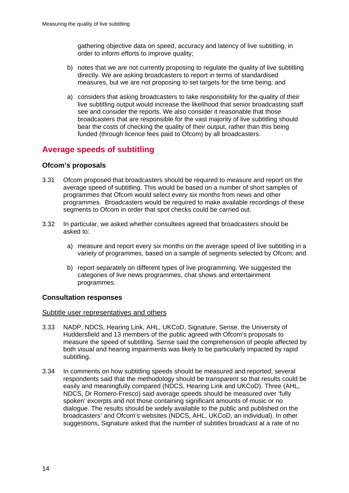gathering objective data on speed, accuracy and latency of live subtitling, in order to inform efforts to improve quality;

- b) notes that we are not currently proposing to regulate the quality of live subtitling directly. We are asking broadcasters to report in terms of standardised measures, but we are not proposing to set targets for the time being; and
- a) considers that asking broadcasters to take responsibility for the quality of their live subtitling output would increase the likelihood that senior broadcasting staff see and consider the reports. We also consider it reasonable that those broadcasters that are responsible for the vast majority of live subtitling should bear the costs of checking the quality of their output, rather than this being funded (through licence fees paid to Ofcom) by all broadcasters.

# **Average speeds of subtitling**

### **Ofcom's proposals**

- 3.31 Ofcom proposed that broadcasters should be required to measure and report on the average speed of subtitling. This would be based on a number of short samples of programmes that Ofcom would select every six months from news and other programmes. Broadcasters would be required to make available recordings of these segments to Ofcom in order that spot checks could be carried out.
- 3.32 In particular, we asked whether consultees agreed that broadcasters should be asked to:
	- a) measure and report every six months on the average speed of live subtitling in a variety of programmes, based on a sample of segments selected by Ofcom; and
	- b) report separately on different types of live programming. We suggested the categories of live news programmes, chat shows and entertainment programmes.

#### **Consultation responses**

#### Subtitle user representatives and others

- 3.33 NADP, NDCS, Hearing Link, AHL, UKCoD, Signature, Sense, the University of Huddersfield and 13 members of the public agreed with Ofcom's proposals to measure the speed of subtitling. Sense said the comprehension of people affected by both visual and hearing impairments was likely to be particularly impacted by rapid subtitling.
- 3.34 In comments on how subtitling speeds should be measured and reported, several respondents said that the methodology should be transparent so that results could be easily and meaningfully compared (NDCS, Hearing Link and UKCoD). Three (AHL, NDCS, Dr Romero-Fresco) said average speeds should be measured over 'fully spoken' excerpts and not those containing significant amounts of music or no dialogue. The results should be widely available to the public and published on the broadcasters' and Ofcom's websites (NDCS, AHL, UKCoD, an individual). In other suggestions, Signature asked that the number of subtitles broadcast at a rate of no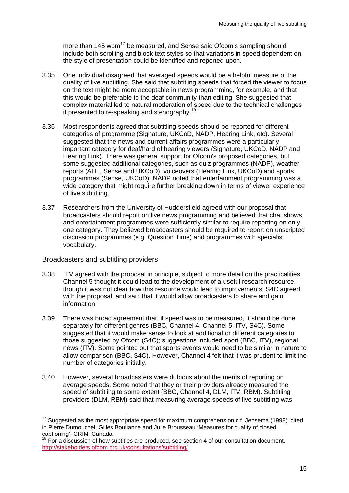more than 145 wpm<sup>[17](#page-17-0)</sup> be measured, and Sense said Ofcom's sampling should include both scrolling and block text styles so that variations in speed dependent on the style of presentation could be identified and reported upon.

- 3.35 One individual disagreed that averaged speeds would be a helpful measure of the quality of live subtitling. She said that subtitling speeds that forced the viewer to focus on the text might be more acceptable in news programming, for example, and that this would be preferable to the deaf community than editing. She suggested that complex material led to natural moderation of speed due to the technical challenges it presented to re-speaking and stenography.[18](#page-17-1)
- 3.36 Most respondents agreed that subtitling speeds should be reported for different categories of programme (Signature, UKCoD, NADP, Hearing Link, etc). Several suggested that the news and current affairs programmes were a particularly important category for deaf/hard of hearing viewers (Signature, UKCoD, NADP and Hearing Link). There was general support for Ofcom's proposed categories, but some suggested additional categories, such as quiz programmes (NADP), weather reports (AHL, Sense and UKCoD), voiceovers (Hearing Link, UKCoD) and sports programmes (Sense, UKCoD). NADP noted that entertainment programming was a wide category that might require further breaking down in terms of viewer experience of live subtitling.
- 3.37 Researchers from the University of Huddersfield agreed with our proposal that broadcasters should report on live news programming and believed that chat shows and entertainment programmes were sufficiently similar to require reporting on only one category. They believed broadcasters should be required to report on unscripted discussion programmes (e.g. Question Time) and programmes with specialist vocabulary.

#### Broadcasters and subtitling providers

- 3.38 ITV agreed with the proposal in principle, subject to more detail on the practicalities. Channel 5 thought it could lead to the development of a useful research resource, though it was not clear how this resource would lead to improvements. S4C agreed with the proposal, and said that it would allow broadcasters to share and gain information.
- 3.39 There was broad agreement that, if speed was to be measured, it should be done separately for different genres (BBC, Channel 4, Channel 5, ITV, S4C). Some suggested that it would make sense to look at additional or different categories to those suggested by Ofcom (S4C); suggestions included sport (BBC, ITV), regional news (ITV). Some pointed out that sports events would need to be similar in nature to allow comparison (BBC, S4C). However, Channel 4 felt that it was prudent to limit the number of categories initially.
- 3.40 However, several broadcasters were dubious about the merits of reporting on average speeds. Some noted that they or their providers already measured the speed of subtitling to some extent (BBC, Channel 4, DLM, ITV, RBM). Subtitling providers (DLM, RBM) said that measuring average speeds of live subtitling was

<span id="page-17-0"></span> $17$  Suggested as the most appropriate speed for maximum comprehension c.f. Jensema (1998), cited in Pierre Dumouchel, Gilles Boulianne and Julie Brousseau 'Measures for quality of closed captioning', CRIM, Canada.

<span id="page-17-1"></span><sup>&</sup>lt;sup>18</sup> For a discussion of how subtitles are produced, see section 4 of our consultation document. <http://stakeholders.ofcom.org.uk/consultations/subtitling/>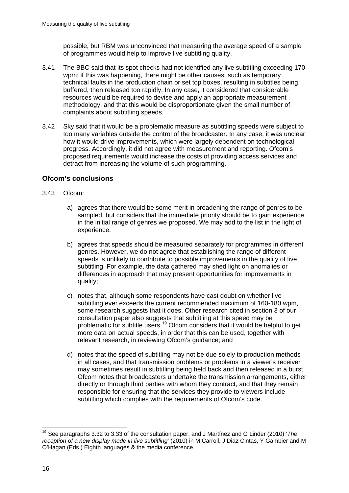possible, but RBM was unconvinced that measuring the average speed of a sample of programmes would help to improve live subtitling quality.

- 3.41 The BBC said that its spot checks had not identified any live subtitling exceeding 170 wpm; if this was happening, there might be other causes, such as temporary technical faults in the production chain or set top boxes, resulting in subtitles being buffered, then released too rapidly. In any case, it considered that considerable resources would be required to devise and apply an appropriate measurement methodology, and that this would be disproportionate given the small number of complaints about subtitling speeds.
- 3.42 Sky said that it would be a problematic measure as subtitling speeds were subject to too many variables outside the control of the broadcaster. In any case, it was unclear how it would drive improvements, which were largely dependent on technological progress. Accordingly, it did not agree with measurement and reporting. Ofcom's proposed requirements would increase the costs of providing access services and detract from increasing the volume of such programming.

## **Ofcom's conclusions**

- 3.43 Ofcom:
	- a) agrees that there would be some merit in broadening the range of genres to be sampled, but considers that the immediate priority should be to gain experience in the initial range of genres we proposed. We may add to the list in the light of experience;
	- b) agrees that speeds should be measured separately for programmes in different genres. However, we do not agree that establishing the range of different speeds is unlikely to contribute to possible improvements in the quality of live subtitling. For example, the data gathered may shed light on anomalies or differences in approach that may present opportunities for improvements in quality;
	- c) notes that, although some respondents have cast doubt on whether live subtitling ever exceeds the current recommended maximum of 160-180 wpm, some research suggests that it does. Other research cited in section 3 of our consultation paper also suggests that subtitling at this speed may be problematic for subtitle users.[19](#page-18-0) Ofcom considers that it would be helpful to get more data on actual speeds, in order that this can be used, together with relevant research, in reviewing Ofcom's guidance; and
	- d) notes that the speed of subtitling may not be due solely to production methods in all cases, and that transmission problems or problems in a viewer's receiver may sometimes result in subtitling being held back and then released in a burst. Ofcom notes that broadcasters undertake the transmission arrangements, either directly or through third parties with whom they contract, and that they remain responsible for ensuring that the services they provide to viewers include subtitling which complies with the requirements of Ofcom's code.

<span id="page-18-0"></span> <sup>19</sup> See paragraphs 3.32 to 3.33 of the consultation paper, and J Martínez and G Linder (2010) '*The reception of a new display mode in live subtitling*' (2010) in M Carroll, J Diaz Cintas, Y Gambier and M O'Hagan (Eds.) Eighth languages & the media conference.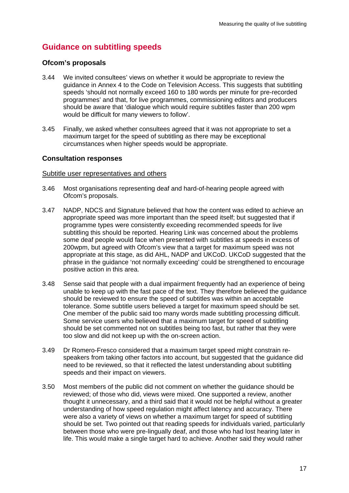# **Guidance on subtitling speeds**

#### **Ofcom's proposals**

- 3.44 We invited consultees' views on whether it would be appropriate to review the guidance in Annex 4 to the Code on Television Access. This suggests that subtitling speeds 'should not normally exceed 160 to 180 words per minute for pre-recorded programmes' and that, for live programmes, commissioning editors and producers should be aware that 'dialogue which would require subtitles faster than 200 wpm would be difficult for many viewers to follow'.
- 3.45 Finally, we asked whether consultees agreed that it was not appropriate to set a maximum target for the speed of subtitling as there may be exceptional circumstances when higher speeds would be appropriate.

#### **Consultation responses**

#### Subtitle user representatives and others

- 3.46 Most organisations representing deaf and hard-of-hearing people agreed with Ofcom's proposals.
- 3.47 NADP, NDCS and Signature believed that how the content was edited to achieve an appropriate speed was more important than the speed itself; but suggested that if programme types were consistently exceeding recommended speeds for live subtitling this should be reported. Hearing Link was concerned about the problems some deaf people would face when presented with subtitles at speeds in excess of 200wpm, but agreed with Ofcom's view that a target for maximum speed was not appropriate at this stage, as did AHL, NADP and UKCoD. UKCoD suggested that the phrase in the guidance 'not normally exceeding' could be strengthened to encourage positive action in this area.
- 3.48 Sense said that people with a dual impairment frequently had an experience of being unable to keep up with the fast pace of the text. They therefore believed the guidance should be reviewed to ensure the speed of subtitles was within an acceptable tolerance. Some subtitle users believed a target for maximum speed should be set. One member of the public said too many words made subtitling processing difficult. Some service users who believed that a maximum target for speed of subtitling should be set commented not on subtitles being too fast, but rather that they were too slow and did not keep up with the on-screen action.
- 3.49 Dr Romero-Fresco considered that a maximum target speed might constrain respeakers from taking other factors into account, but suggested that the guidance did need to be reviewed, so that it reflected the latest understanding about subtitling speeds and their impact on viewers.
- 3.50 Most members of the public did not comment on whether the guidance should be reviewed; of those who did, views were mixed. One supported a review, another thought it unnecessary, and a third said that it would not be helpful without a greater understanding of how speed regulation might affect latency and accuracy. There were also a variety of views on whether a maximum target for speed of subtitling should be set. Two pointed out that reading speeds for individuals varied, particularly between those who were pre-lingually deaf, and those who had lost hearing later in life. This would make a single target hard to achieve. Another said they would rather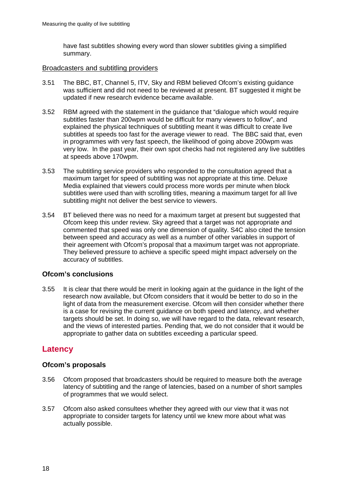have fast subtitles showing every word than slower subtitles giving a simplified summary.

#### Broadcasters and subtitling providers

- 3.51 The BBC, BT, Channel 5, ITV, Sky and RBM believed Ofcom's existing guidance was sufficient and did not need to be reviewed at present. BT suggested it might be updated if new research evidence became available.
- 3.52 RBM agreed with the statement in the guidance that "dialogue which would require subtitles faster than 200wpm would be difficult for many viewers to follow", and explained the physical techniques of subtitling meant it was difficult to create live subtitles at speeds too fast for the average viewer to read. The BBC said that, even in programmes with very fast speech, the likelihood of going above 200wpm was very low. In the past year, their own spot checks had not registered any live subtitles at speeds above 170wpm.
- 3.53 The subtitling service providers who responded to the consultation agreed that a maximum target for speed of subtitling was not appropriate at this time. Deluxe Media explained that viewers could process more words per minute when block subtitles were used than with scrolling titles, meaning a maximum target for all live subtitling might not deliver the best service to viewers.
- 3.54 BT believed there was no need for a maximum target at present but suggested that Ofcom keep this under review. Sky agreed that a target was not appropriate and commented that speed was only one dimension of quality. S4C also cited the tension between speed and accuracy as well as a number of other variables in support of their agreement with Ofcom's proposal that a maximum target was not appropriate. They believed pressure to achieve a specific speed might impact adversely on the accuracy of subtitles.

## **Ofcom's conclusions**

3.55 It is clear that there would be merit in looking again at the guidance in the light of the research now available, but Ofcom considers that it would be better to do so in the light of data from the measurement exercise. Ofcom will then consider whether there is a case for revising the current guidance on both speed and latency, and whether targets should be set. In doing so, we will have regard to the data, relevant research, and the views of interested parties. Pending that, we do not consider that it would be appropriate to gather data on subtitles exceeding a particular speed.

# **Latency**

## **Ofcom's proposals**

- 3.56 Ofcom proposed that broadcasters should be required to measure both the average latency of subtitling and the range of latencies, based on a number of short samples of programmes that we would select.
- 3.57 Ofcom also asked consultees whether they agreed with our view that it was not appropriate to consider targets for latency until we knew more about what was actually possible.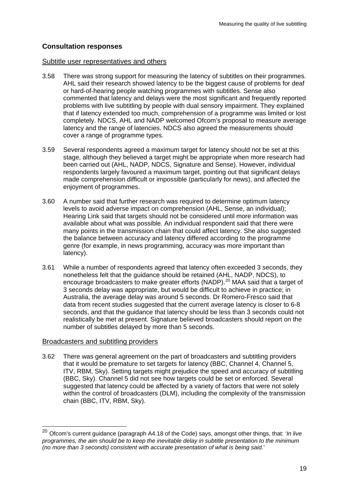## **Consultation responses**

#### Subtitle user representatives and others

- 3.58 There was strong support for measuring the latency of subtitles on their programmes. AHL said their research showed latency to be the biggest cause of problems for deaf or hard-of-hearing people watching programmes with subtitles. Sense also commented that latency and delays were the most significant and frequently reported problems with live subtitling by people with dual sensory impairment. They explained that if latency extended too much, comprehension of a programme was limited or lost completely. NDCS, AHL and NADP welcomed Ofcom's proposal to measure average latency and the range of latencies. NDCS also agreed the measurements should cover a range of programme types.
- 3.59 Several respondents agreed a maximum target for latency should not be set at this stage, although they believed a target might be appropriate when more research had been carried out (AHL, NADP, NDCS, Signature and Sense). However, individual respondents largely favoured a maximum target, pointing out that significant delays made comprehension difficult or impossible (particularly for news), and affected the enjoyment of programmes.
- 3.60 A number said that further research was required to determine optimum latency levels to avoid adverse impact on comprehension (AHL, Sense, an individual); Hearing Link said that targets should not be considered until more information was available about what was possible. An individual respondent said that there were many points in the transmission chain that could affect latency. She also suggested the balance between accuracy and latency differed according to the programme genre (for example, in news programming, accuracy was more important than latency).
- 3.61 While a number of respondents agreed that latency often exceeded 3 seconds, they nonetheless felt that the guidance should be retained (AHL, NADP, NDCS), to encourage broadcasters to make greater efforts (NADP).<sup>[20](#page-21-0)</sup> MAA said that a target of 3 seconds delay was appropriate, but would be difficult to achieve in practice; in Australia, the average delay was around 5 seconds. Dr Romero-Fresco said that data from recent studies suggested that the current average latency is closer to 6-8 seconds, and that the guidance that latency should be less than 3 seconds could not realistically be met at present. Signature believed broadcasters should report on the number of subtitles delayed by more than 5 seconds.

#### Broadcasters and subtitling providers

3.62 There was general agreement on the part of broadcasters and subtitling providers that it would be premature to set targets for latency (BBC, Channel 4, Channel 5, ITV, RBM, Sky). Setting targets might prejudice the speed and accuracy of subtitling (BBC, Sky). Channel 5 did not see how targets could be set or enforced. Several suggested that latency could be affected by a variety of factors that were not solely within the control of broadcasters (DLM), including the complexity of the transmission chain (BBC, ITV, RBM, Sky).

<span id="page-21-0"></span> <sup>20</sup> Ofcom's current guidance (paragraph A4.18 of the Code) says, amongst other things, that: '*In live programmes, the aim should be to keep the inevitable delay in subtitle presentation to the minimum (no more than 3 seconds) consistent with accurate presentation of what is being said.*'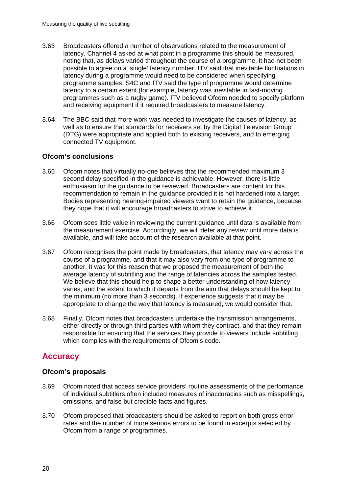- 3.63 Broadcasters offered a number of observations related to the measurement of latency. Channel 4 asked at what point in a programme this should be measured, noting that, as delays varied throughout the course of a programme, it had not been possible to agree on a 'single' latency number. ITV said that inevitable fluctuations in latency during a programme would need to be considered when specifying programme samples. S4C and ITV said the type of programme would determine latency to a certain extent (for example, latency was inevitable in fast-moving programmes such as a rugby game). ITV believed Ofcom needed to specify platform and receiving equipment if it required broadcasters to measure latency.
- 3.64 The BBC said that more work was needed to investigate the causes of latency, as well as to ensure that standards for receivers set by the Digital Television Group (DTG) were appropriate and applied both to existing receivers, and to emerging connected TV equipment.

## **Ofcom's conclusions**

- 3.65 Ofcom notes that virtually no-one believes that the recommended maximum 3 second delay specified in the guidance is achievable. However, there is little enthusiasm for the guidance to be reviewed. Broadcasters are content for this recommendation to remain in the guidance provided it is not hardened into a target. Bodies representing hearing-impaired viewers want to retain the guidance, because they hope that it will encourage broadcasters to strive to achieve it.
- 3.66 Ofcom sees little value in reviewing the current guidance until data is available from the measurement exercise. Accordingly, we will defer any review until more data is available, and will take account of the research available at that point.
- 3.67 Ofcom recognises the point made by broadcasters, that latency may vary across the course of a programme, and that it may also vary from one type of programme to another. It was for this reason that we proposed the measurement of both the average latency of subtitling and the range of latencies across the samples tested. We believe that this should help to shape a better understanding of how latency varies, and the extent to which it departs from the aim that delays should be kept to the minimum (no more than 3 seconds). If experience suggests that it may be appropriate to change the way that latency is measured, we would consider that.
- 3.68 Finally, Ofcom notes that broadcasters undertake the transmission arrangements, either directly or through third parties with whom they contract, and that they remain responsible for ensuring that the services they provide to viewers include subtitling which complies with the requirements of Ofcom's code.

# **Accuracy**

## **Ofcom's proposals**

- 3.69 Ofcom noted that access service providers' routine assessments of the performance of individual subtitlers often included measures of inaccuracies such as misspellings, omissions, and false but credible facts and figures.
- 3.70 Ofcom proposed that broadcasters should be asked to report on both gross error rates and the number of more serious errors to be found in excerpts selected by Ofcom from a range of programmes.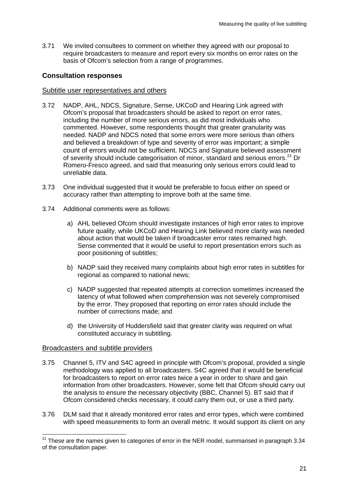3.71 We invited consultees to comment on whether they agreed with our proposal to require broadcasters to measure and report every six months on error rates on the basis of Ofcom's selection from a range of programmes.

## **Consultation responses**

#### Subtitle user representatives and others

- 3.72 NADP, AHL, NDCS, Signature, Sense, UKCoD and Hearing Link agreed with Ofcom's proposal that broadcasters should be asked to report on error rates, including the number of more serious errors, as did most individuals who commented. However, some respondents thought that greater granularity was needed. NADP and NDCS noted that some errors were more serious than others and believed a breakdown of type and severity of error was important; a simple count of errors would not be sufficient. NDCS and Signature believed assessment of severity should include categorisation of minor, standard and serious errors.<sup>[21](#page-23-0)</sup> Dr Romero-Fresco agreed, and said that measuring only serious errors could lead to unreliable data.
- 3.73 One individual suggested that it would be preferable to focus either on speed or accuracy rather than attempting to improve both at the same time.
- 3.74 Additional comments were as follows:
	- a) AHL believed Ofcom should investigate instances of high error rates to improve future quality, while UKCoD and Hearing Link believed more clarity was needed about action that would be taken if broadcaster error rates remained high. Sense commented that it would be useful to report presentation errors such as poor positioning of subtitles;
	- b) NADP said they received many complaints about high error rates in subtitles for regional as compared to national news;
	- c) NADP suggested that repeated attempts at correction sometimes increased the latency of what followed when comprehension was not severely compromised by the error. They proposed that reporting on error rates should include the number of corrections made; and
	- d) the University of Huddersfield said that greater clarity was required on what constituted accuracy in subtitling.

#### Broadcasters and subtitle providers

- 3.75 Channel 5, ITV and S4C agreed in principle with Ofcom's proposal, provided a single methodology was applied to all broadcasters. S4C agreed that it would be beneficial for broadcasters to report on error rates twice a year in order to share and gain information from other broadcasters. However, some felt that Ofcom should carry out the analysis to ensure the necessary objectivity (BBC, Channel 5). BT said that if Ofcom considered checks necessary, it could carry them out, or use a third party.
- 3.76 DLM said that it already monitored error rates and error types, which were combined with speed measurements to form an overall metric. It would support its client on any

<span id="page-23-0"></span> $21$  These are the names given to categories of error in the NER model, summarised in paragraph 3.34 of the consultation paper.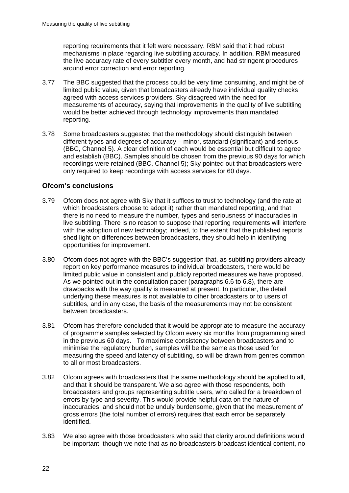reporting requirements that it felt were necessary. RBM said that it had robust mechanisms in place regarding live subtitling accuracy. In addition, RBM measured the live accuracy rate of every subtitler every month, and had stringent procedures around error correction and error reporting.

- 3.77 The BBC suggested that the process could be very time consuming, and might be of limited public value, given that broadcasters already have individual quality checks agreed with access services providers. Sky disagreed with the need for measurements of accuracy, saying that improvements in the quality of live subtitling would be better achieved through technology improvements than mandated reporting.
- 3.78 Some broadcasters suggested that the methodology should distinguish between different types and degrees of accuracy – minor, standard (significant) and serious (BBC, Channel 5). A clear definition of each would be essential but difficult to agree and establish (BBC). Samples should be chosen from the previous 90 days for which recordings were retained (BBC, Channel 5); Sky pointed out that broadcasters were only required to keep recordings with access services for 60 days.

## **Ofcom's conclusions**

- 3.79 Ofcom does not agree with Sky that it suffices to trust to technology (and the rate at which broadcasters choose to adopt it) rather than mandated reporting, and that there is no need to measure the number, types and seriousness of inaccuracies in live subtitling. There is no reason to suppose that reporting requirements will interfere with the adoption of new technology; indeed, to the extent that the published reports shed light on differences between broadcasters, they should help in identifying opportunities for improvement.
- 3.80 Ofcom does not agree with the BBC's suggestion that, as subtitling providers already report on key performance measures to individual broadcasters, there would be limited public value in consistent and publicly reported measures we have proposed. As we pointed out in the consultation paper (paragraphs 6.6 to 6.8), there are drawbacks with the way quality is measured at present. In particular, the detail underlying these measures is not available to other broadcasters or to users of subtitles, and in any case, the basis of the measurements may not be consistent between broadcasters.
- 3.81 Ofcom has therefore concluded that it would be appropriate to measure the accuracy of programme samples selected by Ofcom every six months from programming aired in the previous 60 days. To maximise consistency between broadcasters and to minimise the regulatory burden, samples will be the same as those used for measuring the speed and latency of subtitling, so will be drawn from genres common to all or most broadcasters.
- 3.82 Ofcom agrees with broadcasters that the same methodology should be applied to all, and that it should be transparent. We also agree with those respondents, both broadcasters and groups representing subtitle users, who called for a breakdown of errors by type and severity. This would provide helpful data on the nature of inaccuracies, and should not be unduly burdensome, given that the measurement of gross errors (the total number of errors) requires that each error be separately identified.
- 3.83 We also agree with those broadcasters who said that clarity around definitions would be important, though we note that as no broadcasters broadcast identical content, no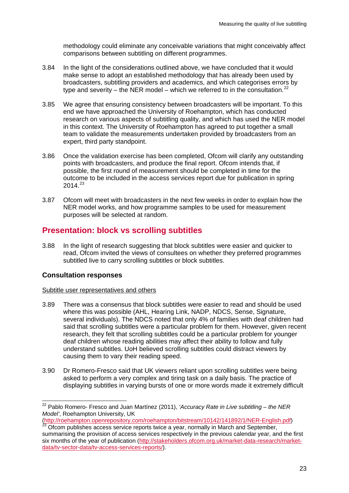methodology could eliminate any conceivable variations that might conceivably affect comparisons between subtitling on different programmes.

- 3.84 In the light of the considerations outlined above, we have concluded that it would make sense to adopt an established methodology that has already been used by broadcasters, subtitling providers and academics, and which categorises errors by type and severity – the NER model – which we referred to in the consultation.<sup>[22](#page-25-0)</sup>
- 3.85 We agree that ensuring consistency between broadcasters will be important. To this end we have approached the University of Roehampton, which has conducted research on various aspects of subtitling quality, and which has used the NER model in this context. The University of Roehampton has agreed to put together a small team to validate the measurements undertaken provided by broadcasters from an expert, third party standpoint.
- 3.86 Once the validation exercise has been completed, Ofcom will clarify any outstanding points with broadcasters, and produce the final report. Ofcom intends that, if possible, the first round of measurement should be completed in time for the outcome to be included in the access services report due for publication in spring  $2014.<sup>23</sup>$  $2014.<sup>23</sup>$  $2014.<sup>23</sup>$
- 3.87 Ofcom will meet with broadcasters in the next few weeks in order to explain how the NER model works, and how programme samples to be used for measurement purposes will be selected at random.

# **Presentation: block vs scrolling subtitles**

3.88 In the light of research suggesting that block subtitles were easier and quicker to read, Ofcom invited the views of consultees on whether they preferred programmes subtitled live to carry scrolling subtitles or block subtitles.

#### **Consultation responses**

#### Subtitle user representatives and others

- 3.89 There was a consensus that block subtitles were easier to read and should be used where this was possible (AHL, Hearing Link, NADP, NDCS, Sense, Signature, several individuals). The NDCS noted that only 4% of families with deaf children had said that scrolling subtitles were a particular problem for them. However, given recent research, they felt that scrolling subtitles could be a particular problem for younger deaf children whose reading abilities may affect their ability to follow and fully understand subtitles. UoH believed scrolling subtitles could distract viewers by causing them to vary their reading speed.
- 3.90 Dr Romero-Fresco said that UK viewers reliant upon scrolling subtitles were being asked to perform a very complex and tiring task on a daily basis. The practice of displaying subtitles in varying bursts of one or more words made it extremely difficult

<span id="page-25-0"></span> <sup>22</sup> Pablo Romero- Fresco and Juan Martínez (2011), *'Accuracy Rate in Live subtitling – the NER Model'*, Roehampton University, UK

[<sup>\(</sup>http://roehampton.openrepository.com/roehampton/bitstream/10142/141892/1/NER-English.pdf\)](http://roehampton.openrepository.com/roehampton/bitstream/10142/141892/1/NER-English.pdf)<br><sup>[23](http://roehampton.openrepository.com/roehampton/bitstream/10142/141892/1/NER-English.pdf)</sup> Ofcom publishes access service reports twice a year, normally in March and September,

<span id="page-25-1"></span>summarising the provision of access services respectively in the previous calendar year, and the first six months of the year of publication [\(http://stakeholders.ofcom.org.uk/market-data-research/market](http://stakeholders.ofcom.org.uk/market-data-research/market-data/tv-sector-data/tv-access-services-reports/)[data/tv-sector-data/tv-access-services-reports/\)](http://stakeholders.ofcom.org.uk/market-data-research/market-data/tv-sector-data/tv-access-services-reports/).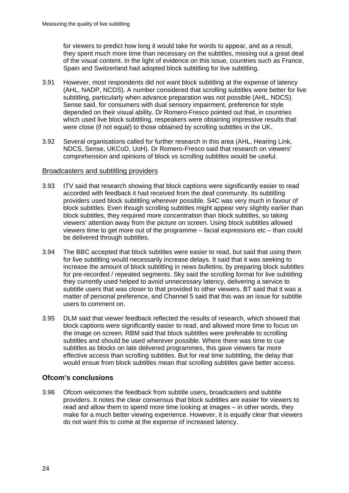for viewers to predict how long it would take for words to appear, and as a result, they spent much more time than necessary on the subtitles, missing out a great deal of the visual content. In the light of evidence on this issue, countries such as France, Spain and Switzerland had adopted block subtitling for live subtitling.

- 3.91 However, most respondents did not want block subtitling at the expense of latency (AHL, NADP, NCDS). A number considered that scrolling subtitles were better for live subtitling, particularly when advance preparation was not possible (AHL, NDCS). Sense said, for consumers with dual sensory impairment, preference for style depended on their visual ability. Dr Romero-Fresco pointed out that, in countries which used live block subtitling, respeakers were obtaining impressive results that were close (if not equal) to those obtained by scrolling subtitles in the UK.
- 3.92 Several organisations called for further research in this area (AHL, Hearing Link, NDCS, Sense, UKCoD, UoH). Dr Romero-Fresco said that research on viewers' comprehension and opinions of block vs scrolling subtitles would be useful.

#### Broadcasters and subtitling providers

- 3.93 ITV said that research showing that block captions were significantly easier to read accorded with feedback it had received from the deaf community. Its subtitling providers used block subtitling wherever possible. S4C was very much in favour of block subtitles. Even though scrolling subtitles might appear very slightly earlier than block subtitles, they required more concentration than block subtitles, so taking viewers' attention away from the picture on screen. Using block subtitles allowed viewers time to get more out of the programme – facial expressions etc – than could be delivered through subtitles.
- 3.94 The BBC accepted that block subtitles were easier to read, but said that using them for live subtitling would necessarily increase delays. It said that it was seeking to increase the amount of block subtitling in news bulletins, by preparing block subtitles for pre-recorded / repeated segments. Sky said the scrolling format for live subtitling they currently used helped to avoid unnecessary latency, delivering a service to subtitle users that was closer to that provided to other viewers. BT said that it was a matter of personal preference, and Channel 5 said that this was an issue for subtitle users to comment on.
- 3.95 DLM said that viewer feedback reflected the results of research, which showed that block captions were significantly easier to read, and allowed more time to focus on the image on screen. RBM said that block subtitles were preferable to scrolling subtitles and should be used wherever possible. Where there was time to cue subtitles as blocks on late delivered programmes, this gave viewers far more effective access than scrolling subtitles. But for real time subtitling, the delay that would ensue from block subtitles mean that scrolling subtitles gave better access.

## **Ofcom's conclusions**

3.96 Ofcom welcomes the feedback from subtitle users, broadcasters and subtitle providers. It notes the clear consensus that block subtitles are easier for viewers to read and allow them to spend more time looking at images – in other words, they make for a much better viewing experience. However, it is equally clear that viewers do not want this to come at the expense of increased latency.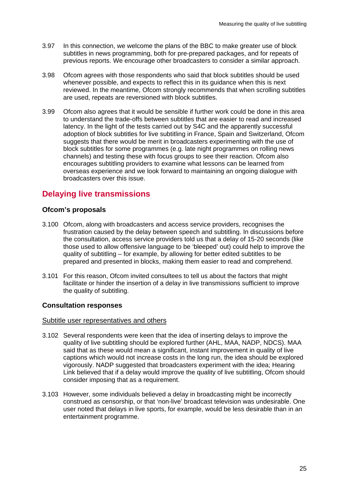- 3.97 In this connection, we welcome the plans of the BBC to make greater use of block subtitles in news programming, both for pre-prepared packages, and for repeats of previous reports. We encourage other broadcasters to consider a similar approach.
- 3.98 Ofcom agrees with those respondents who said that block subtitles should be used whenever possible, and expects to reflect this in its guidance when this is next reviewed. In the meantime, Ofcom strongly recommends that when scrolling subtitles are used, repeats are reversioned with block subtitles.
- 3.99 Ofcom also agrees that it would be sensible if further work could be done in this area to understand the trade-offs between subtitles that are easier to read and increased latency. In the light of the tests carried out by S4C and the apparently successful adoption of block subtitles for live subtitling in France, Spain and Switzerland, Ofcom suggests that there would be merit in broadcasters experimenting with the use of block subtitles for some programmes (e.g. late night programmes on rolling news channels) and testing these with focus groups to see their reaction. Ofcom also encourages subtitling providers to examine what lessons can be learned from overseas experience and we look forward to maintaining an ongoing dialogue with broadcasters over this issue.

# **Delaying live transmissions**

## **Ofcom's proposals**

- 3.100 Ofcom, along with broadcasters and access service providers, recognises the frustration caused by the delay between speech and subtitling. In discussions before the consultation, access service providers told us that a delay of 15-20 seconds (like those used to allow offensive language to be 'bleeped' out) could help to improve the quality of subtitling – for example, by allowing for better edited subtitles to be prepared and presented in blocks, making them easier to read and comprehend.
- 3.101 For this reason, Ofcom invited consultees to tell us about the factors that might facilitate or hinder the insertion of a delay in live transmissions sufficient to improve the quality of subtitling.

## **Consultation responses**

#### Subtitle user representatives and others

- 3.102 Several respondents were keen that the idea of inserting delays to improve the quality of live subtitling should be explored further (AHL, MAA, NADP, NDCS). MAA said that as these would mean a significant, instant improvement in quality of live captions which would not increase costs in the long run, the idea should be explored vigorously. NADP suggested that broadcasters experiment with the idea; Hearing Link believed that if a delay would improve the quality of live subtitling, Ofcom should consider imposing that as a requirement.
- 3.103 However, some individuals believed a delay in broadcasting might be incorrectly construed as censorship, or that 'non-live' broadcast television was undesirable. One user noted that delays in live sports, for example, would be less desirable than in an entertainment programme.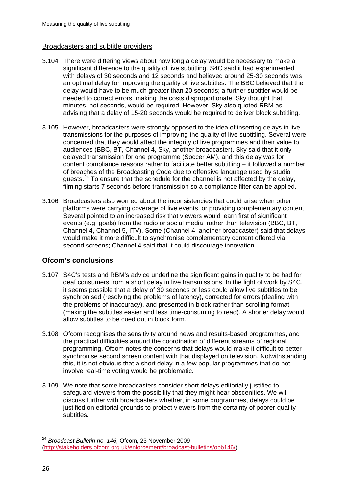### Broadcasters and subtitle providers

- 3.104 There were differing views about how long a delay would be necessary to make a significant difference to the quality of live subtitling. S4C said it had experimented with delays of 30 seconds and 12 seconds and believed around 25-30 seconds was an optimal delay for improving the quality of live subtitles. The BBC believed that the delay would have to be much greater than 20 seconds; a further subtitler would be needed to correct errors, making the costs disproportionate. Sky thought that minutes, not seconds, would be required. However, Sky also quoted RBM as advising that a delay of 15-20 seconds would be required to deliver block subtitling.
- 3.105 However, broadcasters were strongly opposed to the idea of inserting delays in live transmissions for the purposes of improving the quality of live subtitling. Several were concerned that they would affect the integrity of live programmes and their value to audiences (BBC, BT, Channel 4, Sky, another broadcaster). Sky said that it only delayed transmission for one programme (Soccer AM), and this delay was for content compliance reasons rather to facilitate better subtitling – it followed a number of breaches of the Broadcasting Code due to offensive language used by studio guests.[24](#page-28-0) To ensure that the schedule for the channel is not affected by the delay, filming starts 7 seconds before transmission so a compliance filter can be applied.
- 3.106 Broadcasters also worried about the inconsistencies that could arise when other platforms were carrying coverage of live events, or providing complementary content. Several pointed to an increased risk that viewers would learn first of significant events (e.g. goals) from the radio or social media, rather than television (BBC, BT, Channel 4, Channel 5, ITV). Some (Channel 4, another broadcaster) said that delays would make it more difficult to synchronise complementary content offered via second screens; Channel 4 said that it could discourage innovation.

## **Ofcom's conclusions**

- 3.107 S4C's tests and RBM's advice underline the significant gains in quality to be had for deaf consumers from a short delay in live transmissions. In the light of work by S4C, it seems possible that a delay of 30 seconds or less could allow live subtitles to be synchronised (resolving the problems of latency), corrected for errors (dealing with the problems of inaccuracy), and presented in block rather than scrolling format (making the subtitles easier and less time-consuming to read). A shorter delay would allow subtitles to be cued out in block form.
- 3.108 Ofcom recognises the sensitivity around news and results-based programmes, and the practical difficulties around the coordination of different streams of regional programming. Ofcom notes the concerns that delays would make it difficult to better synchronise second screen content with that displayed on television. Notwithstanding this, it is not obvious that a short delay in a few popular programmes that do not involve real-time voting would be problematic.
- 3.109 We note that some broadcasters consider short delays editorially justified to safeguard viewers from the possibility that they might hear obscenities. We will discuss further with broadcasters whether, in some programmes, delays could be justified on editorial grounds to protect viewers from the certainty of poorer-quality subtitles.

<span id="page-28-0"></span> <sup>24</sup> *Broadcast Bulletin no. 146,* Ofcom, 23 November 2009 [\(http://stakeholders.ofcom.org.uk/enforcement/broadcast-bulletins/obb146/\)](http://stakeholders.ofcom.org.uk/enforcement/broadcast-bulletins/obb146/)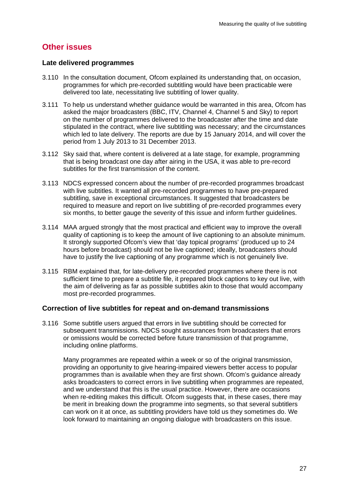# **Other issues**

#### **Late delivered programmes**

- 3.110 In the consultation document, Ofcom explained its understanding that, on occasion, programmes for which pre-recorded subtitling would have been practicable were delivered too late, necessitating live subtitling of lower quality.
- 3.111 To help us understand whether guidance would be warranted in this area, Ofcom has asked the major broadcasters (BBC, ITV, Channel 4, Channel 5 and Sky) to report on the number of programmes delivered to the broadcaster after the time and date stipulated in the contract, where live subtitling was necessary; and the circumstances which led to late delivery. The reports are due by 15 January 2014, and will cover the period from 1 July 2013 to 31 December 2013.
- 3.112 Sky said that, where content is delivered at a late stage, for example, programming that is being broadcast one day after airing in the USA, it was able to pre-record subtitles for the first transmission of the content.
- 3.113 NDCS expressed concern about the number of pre-recorded programmes broadcast with live subtitles. It wanted all pre-recorded programmes to have pre-prepared subtitling, save in exceptional circumstances. It suggested that broadcasters be required to measure and report on live subtitling of pre-recorded programmes every six months, to better gauge the severity of this issue and inform further guidelines.
- 3.114 MAA argued strongly that the most practical and efficient way to improve the overall quality of captioning is to keep the amount of live captioning to an absolute minimum. It strongly supported Ofcom's view that 'day topical programs' (produced up to 24 hours before broadcast) should not be live captioned; ideally, broadcasters should have to justify the live captioning of any programme which is not genuinely live.
- 3.115 RBM explained that, for late-delivery pre-recorded programmes where there is not sufficient time to prepare a subtitle file, it prepared block captions to key out live, with the aim of delivering as far as possible subtitles akin to those that would accompany most pre-recorded programmes.

#### **Correction of live subtitles for repeat and on-demand transmissions**

3.116 Some subtitle users argued that errors in live subtitling should be corrected for subsequent transmissions. NDCS sought assurances from broadcasters that errors or omissions would be corrected before future transmission of that programme, including online platforms.

Many programmes are repeated within a week or so of the original transmission, providing an opportunity to give hearing-impaired viewers better access to popular programmes than is available when they are first shown. Ofcom's guidance already asks broadcasters to correct errors in live subtitling when programmes are repeated, and we understand that this is the usual practice. However, there are occasions when re-editing makes this difficult. Ofcom suggests that, in these cases, there may be merit in breaking down the programme into segments, so that several subtitlers can work on it at once, as subtitling providers have told us they sometimes do. We look forward to maintaining an ongoing dialogue with broadcasters on this issue.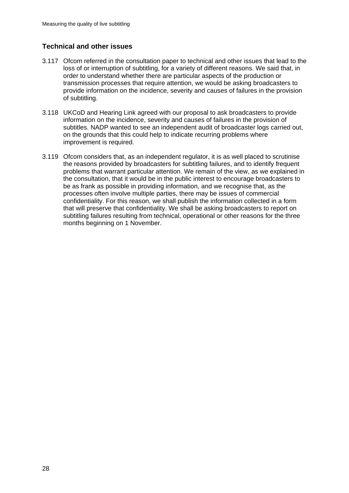## **Technical and other issues**

- 3.117 Ofcom referred in the consultation paper to technical and other issues that lead to the loss of or interruption of subtitling, for a variety of different reasons. We said that, in order to understand whether there are particular aspects of the production or transmission processes that require attention, we would be asking broadcasters to provide information on the incidence, severity and causes of failures in the provision of subtitling.
- 3.118 UKCoD and Hearing Link agreed with our proposal to ask broadcasters to provide information on the incidence, severity and causes of failures in the provision of subtitles. NADP wanted to see an independent audit of broadcaster logs carried out, on the grounds that this could help to indicate recurring problems where improvement is required.
- 3.119 Ofcom considers that, as an independent regulator, it is as well placed to scrutinise the reasons provided by broadcasters for subtitling failures, and to identify frequent problems that warrant particular attention. We remain of the view, as we explained in the consultation, that it would be in the public interest to encourage broadcasters to be as frank as possible in providing information, and we recognise that, as the processes often involve multiple parties, there may be issues of commercial confidentiality. For this reason, we shall publish the information collected in a form that will preserve that confidentiality. We shall be asking broadcasters to report on subtitling failures resulting from technical, operational or other reasons for the three months beginning on 1 November.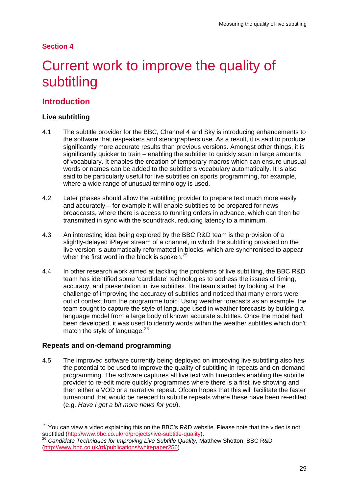## **Section 4**

# <span id="page-31-0"></span>4 Current work to improve the quality of subtitling

# **Introduction**

## **Live subtitling**

- 4.1 The subtitle provider for the BBC, Channel 4 and Sky is introducing enhancements to the software that respeakers and stenographers use. As a result, it is said to produce significantly more accurate results than previous versions. Amongst other things, it is significantly quicker to train – enabling the subtitler to quickly scan in large amounts of vocabulary. It enables the creation of temporary macros which can ensure unusual words or names can be added to the subtitler's vocabulary automatically. It is also said to be particularly useful for live subtitles on sports programming, for example, where a wide range of unusual terminology is used.
- 4.2 Later phases should allow the subtitling provider to prepare text much more easily and accurately – for example it will enable subtitles to be prepared for news broadcasts, where there is access to running orders in advance, which can then be transmitted in sync with the soundtrack, reducing latency to a minimum.
- 4.3 An interesting idea being explored by the BBC R&D team is the provision of a slightly-delayed iPlayer stream of a channel, in which the subtitling provided on the live version is automatically reformatted in blocks, which are synchronised to appear when the first word in the block is spoken.<sup>[25](#page-31-1)</sup>
- 4.4 In other research work aimed at tackling the problems of live subtitling, the BBC R&D team has identified some 'candidate' technologies to address the issues of timing, accuracy, and presentation in live subtitles. The team started by looking at the challenge of improving the accuracy of subtitles and noticed that many errors were out of context from the programme topic. Using weather forecasts as an example, the team sought to capture the style of language used in weather forecasts by building a language model from a large body of known accurate subtitles. Once the model had been developed, it was used to identify words within the weather subtitles which don't match the style of language.<sup>[26](#page-31-2)</sup>

#### **Repeats and on-demand programming**

4.5 The improved software currently being deployed on improving live subtitling also has the potential to be used to improve the quality of subtitling in repeats and on-demand programming. The software captures all live text with timecodes enabling the subtitle provider to re-edit more quickly programmes where there is a first live showing and then either a VOD or a narrative repeat. Ofcom hopes that this will facilitate the faster turnaround that would be needed to subtitle repeats where these have been re-edited (e.g. *Have I got a bit more news for you*).

<span id="page-31-1"></span><sup>&</sup>lt;sup>25</sup> You can view a video explaining this on the BBC's R&D website. Please note that the video is not subtitled (http://www.bbc.co.uk/rd/projects/live-subtitle-quality).

<span id="page-31-2"></span><sup>&</sup>lt;sup>26</sup> Candidate Techniques for Improving Live Subtitle Quality, Matthew Shotton, BBC R&D [\(http://www.bbc.co.uk/rd/publications/whitepaper256\)](http://www.bbc.co.uk/rd/publications/whitepaper256)